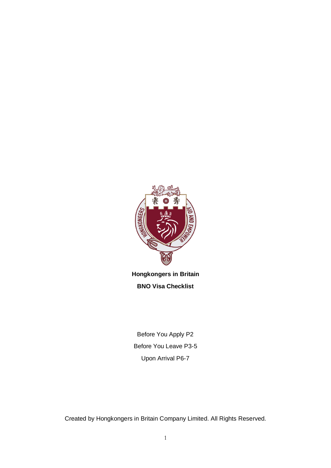

**Hongkongers in Britain BNO Visa Checklist**

Before You Apply P2 Before You Leave P3-5 Upon Arrival P6-7

Created by Hongkongers in Britain Company Limited. All Rights Reserved.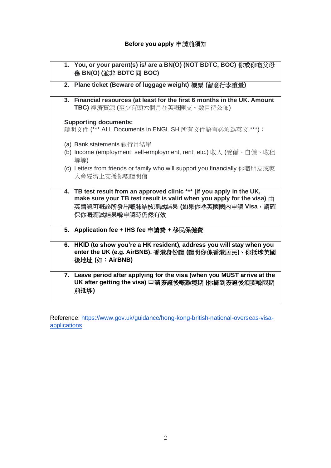## **Before you apply** 申請前須知

|    | 1. You, or your parent(s) is/ are a BN(O) (NOT BDTC, BOC) 你或你嘅父母<br>係 BN(O) (並非 BDTC 同 BOC)                                                  |
|----|----------------------------------------------------------------------------------------------------------------------------------------------|
|    | 2. Plane ticket (Beware of luggage weight) 機票 (留意行李重量)                                                                                       |
|    | 3. Financial resources (at least for the first 6 months in the UK. Amount<br>TBC) 經濟資源 (至少有頭六個月在英嘅開支。數目待公佈)                                  |
|    | <b>Supporting documents:</b>                                                                                                                 |
|    | 證明文件 (*** ALL Documents in ENGLISH 所有文件語言必須為英文 ***):                                                                                         |
|    | (a) Bank statements 銀行月結單                                                                                                                    |
|    | (b) Income (employment, self-employment, rent, etc.) 收入 (受僱、自僱、收租<br>等等)                                                                     |
|    | (c) Letters from friends or family who will support you financially 你嘅朋友或家<br>人會經濟上支援你嘅證明信                                                   |
|    | 4. TB test result from an approved clinic *** (if you apply in the UK,                                                                       |
|    | make sure your TB test result is valid when you apply for the visa) $\pm$                                                                    |
|    | 英國認可嘅診所發出嘅肺結核測試結果 (如果你喺英國國內申請 Visa,請確                                                                                                        |
|    | 保你嘅測試結果喺申請時仍然有效                                                                                                                              |
|    |                                                                                                                                              |
|    | 5. Application fee + IHS fee 申請費 + 移民保健費                                                                                                     |
| 6. | HKID (to show you're a HK resident), address you will stay when you<br>enter the UK (e.g. AirBNB). 香港身份證 (證明你係香港居民)、你抵埗英國<br>後地址 (如: AirBNB) |
|    | 7. Leave period after applying for the visa (when you MUST arrive at the<br>UK after getting the visa) 申請簽證後嘅離境期 (你攞到簽證後須要喺限期<br>前抵埗)        |

Reference: [https://www.gov.uk/guidance/hong-kong-british-national-overseas-visa](https://www.gov.uk/guidance/hong-kong-british-national-overseas-visa-applications)[applications](https://www.gov.uk/guidance/hong-kong-british-national-overseas-visa-applications)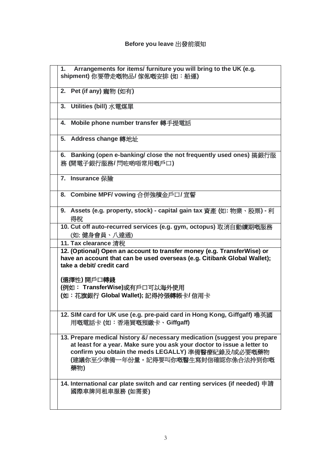## **Before you leave** 出發前須知

| Arrangements for items/ furniture you will bring to the UK (e.g.<br>1.<br>shipment) 你要帶走嘅物品/ 傢俬嘅安排 (如:船運)                                                                                                                                               |
|---------------------------------------------------------------------------------------------------------------------------------------------------------------------------------------------------------------------------------------------------------|
| 2. Pet (if any) 寵物 (如有)                                                                                                                                                                                                                                 |
| 3. Utilities (bill) 水電煤單                                                                                                                                                                                                                                |
| Mobile phone number transfer 轉手提電話<br>4.                                                                                                                                                                                                                |
| 5. Address change 轉地址                                                                                                                                                                                                                                   |
| 6. Banking (open e-banking/ close the not frequently used ones) 搞銀行服<br>務 (開電子銀行服務/閂咗啲唔常用嘅戶口)                                                                                                                                                           |
| 7. Insurance 保險                                                                                                                                                                                                                                         |
| 8. Combine MPF/ vowing 合併強積金戶口/宣誓                                                                                                                                                                                                                       |
| 9. Assets (e.g. property, stock) - capital gain tax 資產 (如: 物業、股票) - 利<br>得稅                                                                                                                                                                             |
| 10. Cut off auto-recurred services (e.g. gym, octopus) 取消自動續期嘅服務<br>(如:健身會員、八達通)                                                                                                                                                                        |
| 11. Tax clearance 清稅                                                                                                                                                                                                                                    |
| 12. (Optional) Open an account to transfer money (e.g. TransferWise) or<br>have an account that can be used overseas (e.g. Citibank Global Wallet);<br>take a debit/ credit card                                                                        |
| (選擇性) 開戶口轉錢                                                                                                                                                                                                                                             |
| (例如: TransferWise)或有戶口可以海外使用                                                                                                                                                                                                                            |
| (如:花旗銀行 Global Wallet); 記得拎張轉帳卡/ 信用卡                                                                                                                                                                                                                    |
| 用嘅電話卡(如:香港買嘅預繳卡、Giffgaff)                                                                                                                                                                                                                               |
| 13. Prepare medical history &/ necessary medication (suggest you prepare<br>at least for a year. Make sure you ask your doctor to issue a letter to<br>confirm you obtain the meds LEGALLY) 準備醫療紀錄及/或必要嘅藥物<br>(建議你至少準備一年份量。記得要叫你嘅醫生寫封信確認你係合法拎到你嘅<br>藥物) |
| 14. International car plate switch and car renting services (if needed) 申請<br>國際車牌同租車服務 (如需要)                                                                                                                                                           |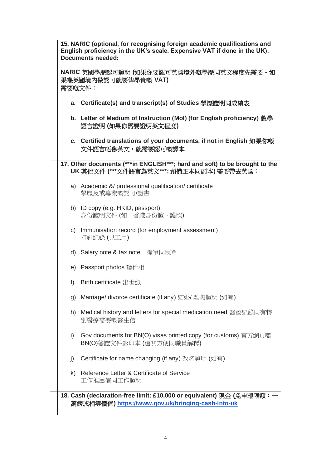| 15. NARIC (optional, for recognising foreign academic qualifications and<br>English proficiency in the UK's scale. Expensive VAT if done in the UK).<br><b>Documents needed:</b> |                                                                                                                        |  |  |  |  |
|----------------------------------------------------------------------------------------------------------------------------------------------------------------------------------|------------------------------------------------------------------------------------------------------------------------|--|--|--|--|
| 需要嘅文件:                                                                                                                                                                           | NARIC 英國學歷認可證明 (如果你要認可英國境外嘅學歷同英文程度先需要。如<br>果喺英國境内做認可就要俾昂貴嘅 VAT)                                                        |  |  |  |  |
|                                                                                                                                                                                  | a. Certificate(s) and transcript(s) of Studies 學歷證明同成績表                                                                |  |  |  |  |
|                                                                                                                                                                                  | b. Letter of Medium of Instruction (Mol) (for English proficiency) 教學<br>語言證明 (如果你需要證明英文程度)                            |  |  |  |  |
|                                                                                                                                                                                  | c. Certified translations of your documents, if not in English 如果你嘅<br>文件語言唔係英文,就需要認可嘅譯本                               |  |  |  |  |
|                                                                                                                                                                                  | 17. Other documents (***in ENGLISH***; hard and soft) to be brought to the<br>UK 其他文件 (***文件語言為英文***; 預備正本同副本) 需要帶去英國: |  |  |  |  |
|                                                                                                                                                                                  | a) Academic &/ professional qualification/ certificate<br>學歷及或專業嘅認可/證書                                                 |  |  |  |  |
|                                                                                                                                                                                  | b) ID copy (e.g. HKID, passport)<br>身份證明文件 (如:香港身份證、護照)                                                                |  |  |  |  |
|                                                                                                                                                                                  | c) Immunisation record (for employment assessment)<br>打針紀錄 (見工用)                                                       |  |  |  |  |
|                                                                                                                                                                                  | d) Salary note & tax note 糧單同稅單                                                                                        |  |  |  |  |
|                                                                                                                                                                                  | e) Passport photos 證件相                                                                                                 |  |  |  |  |
| f)                                                                                                                                                                               | Birth certificate 出世紙                                                                                                  |  |  |  |  |
|                                                                                                                                                                                  | g) Marriage/ divorce certificate (if any) 結婚/ 離職證明 (如有)                                                                |  |  |  |  |
|                                                                                                                                                                                  | h) Medical history and letters for special medication need 醫療紀錄同有特<br>別醫療需要嘅醫生信                                        |  |  |  |  |
| i)                                                                                                                                                                               | Gov documents for BN(O) visas printed copy (for customs) 官方網頁嘅<br>BN(O)簽證文件影印本 (過關方便同職員解釋)                             |  |  |  |  |
| $\mathsf{i}$                                                                                                                                                                     | Certificate for name changing (if any) 改名證明 (如有)                                                                       |  |  |  |  |
|                                                                                                                                                                                  | k) Reference Letter & Certificate of Service<br>工作推薦信同工作證明                                                             |  |  |  |  |
|                                                                                                                                                                                  | 18. Cash (declaration-free limit: £10,000 or equivalent) 現金 (免申報限額: 一                                                  |  |  |  |  |
|                                                                                                                                                                                  |                                                                                                                        |  |  |  |  |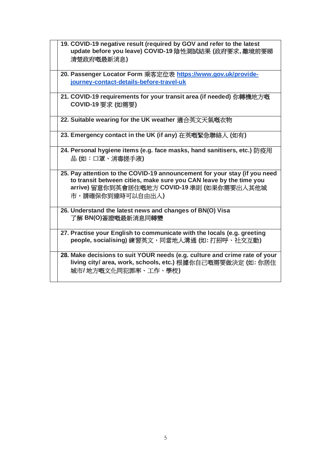| 19. COVID-19 negative result (required by GOV and refer to the latest<br>update before you leave) COVID-19 陰性測試結果 (政府要求, 離境前要睇<br>清楚政府嘅最新消息)                                                                       |
|--------------------------------------------------------------------------------------------------------------------------------------------------------------------------------------------------------------------|
| 20. Passenger Locator Form 乘客定位表 https://www.gov.uk/provide-<br>journey-contact-details-before-travel-uk                                                                                                           |
| 21. COVID-19 requirements for your transit area (if needed) 你轉機地方嘅<br>COVID-19 要求 (如需要)                                                                                                                            |
| 22. Suitable wearing for the UK weather 適合英文天氣嘅衣物                                                                                                                                                                  |
| 23. Emergency contact in the UK (if any) 在英嘅緊急聯絡人 (如有)                                                                                                                                                             |
| 24. Personal hygiene items (e.g. face masks, hand sanitisers, etc.) 防疫用<br>品 (如:口罩、消毒搓手液)                                                                                                                          |
| 25. Pay attention to the COVID-19 announcement for your stay (if you need<br>to transit between cities, make sure you CAN leave by the time you<br>arrive) 留意你到英會居住嘅地方 COVID-19 準則 (如果你需要出入其他城<br>市,請確保你到達時可以自由出入) |
| 26. Understand the latest news and changes of BN(O) Visa<br>了解 BN(O)簽證嘅最新消息同轉變                                                                                                                                     |
| 27. Practise your English to communicate with the locals (e.g. greeting<br>people, socialising) 練習英文,同當地人溝通 (如: 打招呼、社交互動)                                                                                          |
| 28. Make decisions to suit YOUR needs (e.g. culture and crime rate of your<br>living city/ area, work, schools, etc.) 根據你自己嘅需要做決定 (如: 你居住<br>城市/地方嘅文化同犯罪率、工作、學校)                                                   |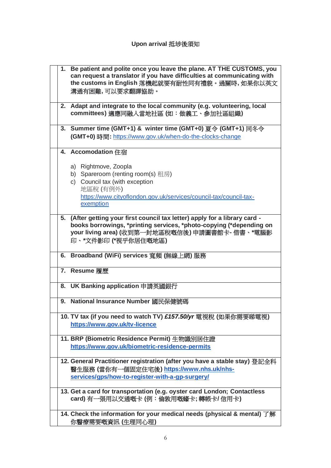|  | 1. Be patient and polite once you leave the plane. AT THE CUSTOMS, you<br>can request a translator if you have difficulties at communicating with<br>the customs in English 落機起就要有耐性同有禮貌。過關時, 如果你以英文<br>溝通有困難,可以要求翻譯協助。      |
|--|------------------------------------------------------------------------------------------------------------------------------------------------------------------------------------------------------------------------------|
|  | 2. Adapt and integrate to the local community (e.g. volunteering, local<br>committees) 適應同融入當地社區(如:做義工、參加社區組織)                                                                                                               |
|  | 3. Summer time (GMT+1) & winter time (GMT+0) 夏今 (GMT+1) 同冬今<br>(GMT+0)時間: https://www.gov.uk/when-do-the-clocks-change                                                                                                       |
|  | 4. Accomodation 住宿<br>a) Rightmove, Zoopla<br>b) Spareroom (renting room(s) 租房)<br>c) Council tax (with exception<br>地區稅 (有例外)<br>https://www.cityoflondon.gov.uk/services/council-tax/council-tax-                          |
|  | exemption                                                                                                                                                                                                                    |
|  | 5. (After getting your first council tax letter) apply for a library card -<br>books borrowings, *printing services, *photo-copying (*depending on<br>your living area) (收到第一封地區稅嘅信後) 申請圖書館卡- 借書、*電腦影<br>印、*文件影印 (*視乎你居住嘅地區) |
|  | 6. Broadband (WiFi) services 寬頻 (無線上網) 服務                                                                                                                                                                                    |
|  | 7. Resume 履歷                                                                                                                                                                                                                 |
|  | 8. UK Banking application 申請英國銀行                                                                                                                                                                                             |
|  | 9. National Insurance Number 國民保健號碼                                                                                                                                                                                          |
|  | 10. TV tax (if you need to watch TV) £157.50/yr 電視稅 (如果你需要睇電視)<br>https://www.gov.uk/tv-licence                                                                                                                              |
|  | 11. BRP (Biometric Residence Permit) 生物識別居住證<br>https://www.gov.uk/biometric-residence-permits                                                                                                                               |
|  | 12. General Practitioner registration (after you have a stable stay) 登記全科<br>醫生服務 (當你有一個固定住宅後) https://www.nhs.uk/nhs-<br>services/gps/how-to-register-with-a-gp-surgery/                                                    |
|  | 13. Get a card for transportation (e.g. oyster card London; Contactless<br>card) 有一張用以交通嘅卡 (例:倫敦用嘅蠔卡; 轉帳卡/ 信用卡)                                                                                                              |
|  | 14. Check the information for your medical needs (physical & mental) 了解<br>你醫療需要嘅資訊 (生理同心理)                                                                                                                                  |